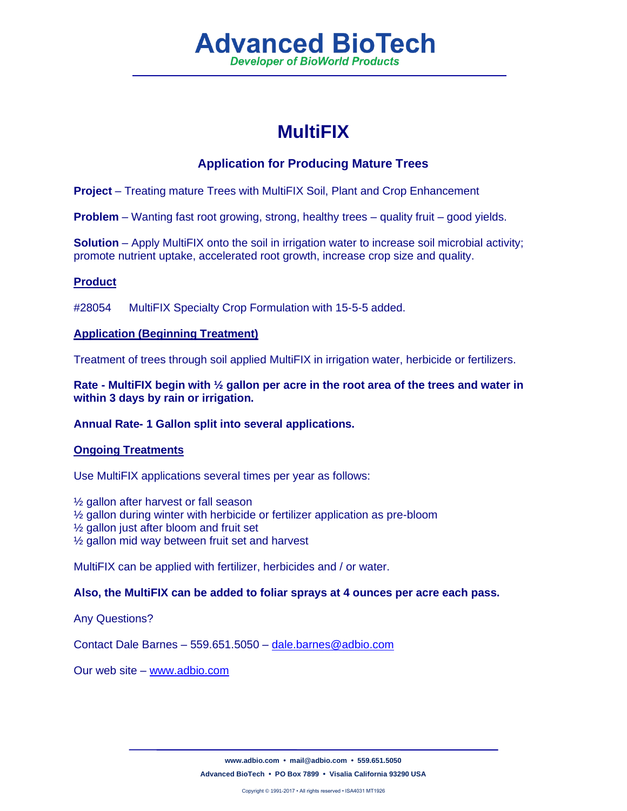# **Advanced BioTech Developer of BioWorld Products**

# **MultiFIX**

## **Application for Producing Mature Trees**

**Project** – Treating mature Trees with MultiFIX Soil, Plant and Crop Enhancement

**Problem** – Wanting fast root growing, strong, healthy trees – quality fruit – good yields.

**Solution** – Apply MultiFIX onto the soil in irrigation water to increase soil microbial activity; promote nutrient uptake, accelerated root growth, increase crop size and quality.

#### **Product**

#28054 MultiFIX Specialty Crop Formulation with 15-5-5 added.

#### **Application (Beginning Treatment)**

Treatment of trees through soil applied MultiFIX in irrigation water, herbicide or fertilizers.

**Rate - MultiFIX begin with ½ gallon per acre in the root area of the trees and water in within 3 days by rain or irrigation.**

## **Annual Rate- 1 Gallon split into several applications.**

## **Ongoing Treatments**

Use MultiFIX applications several times per year as follows:

 $\frac{1}{2}$  gallon after harvest or fall season

½ gallon during winter with herbicide or fertilizer application as pre-bloom

- ½ gallon just after bloom and fruit set
- ½ gallon mid way between fruit set and harvest

MultiFIX can be applied with fertilizer, herbicides and / or water.

#### **Also, the MultiFIX can be added to foliar sprays at 4 ounces per acre each pass.**

Any Questions?

Contact Dale Barnes – 559.651.5050 – [dale.barnes@adbio.com](mailto:dale.barnes@adbio.com)

Our web site – [www.adbio.com](http://www.adbio.com/)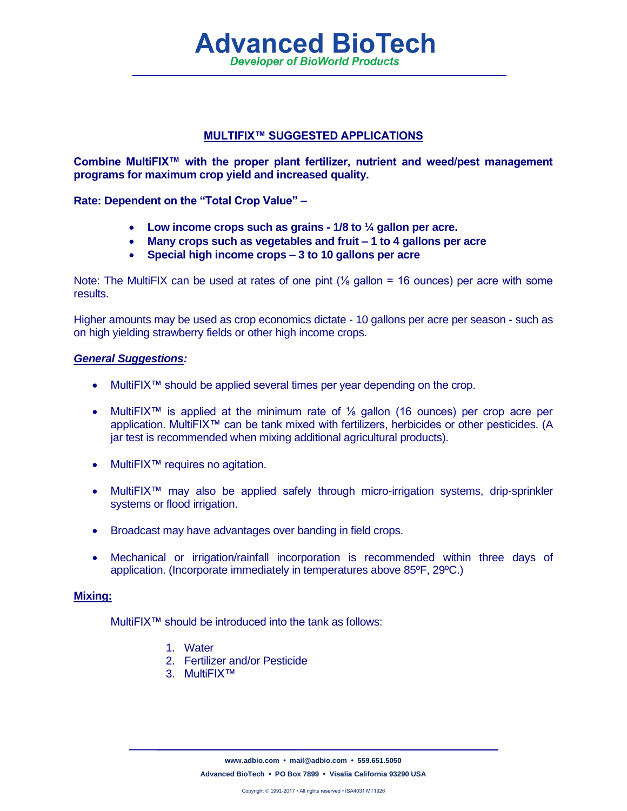## **MULTIFIX™ SUGGESTED APPLICATIONS**

**Advanced BioTech Developer of BioWorld Products** 

**Combine MultiFIX™ with the proper plant fertilizer, nutrient and weed/pest management programs for maximum crop yield and increased quality.**

**Rate: Dependent on the "Total Crop Value" –**

- **Low income crops such as grains - 1/8 to ¼ gallon per acre.**
- **Many crops such as vegetables and fruit – 1 to 4 gallons per acre**
- **Special high income crops – 3 to 10 gallons per acre**

Note: The MultiFIX can be used at rates of one pint  $\frac{1}{6}$  gallon = 16 ounces) per acre with some results.

Higher amounts may be used as crop economics dictate - 10 gallons per acre per season - such as on high yielding strawberry fields or other high income crops.

#### *General Suggestions:*

- MultiFIX<sup>™</sup> should be applied several times per year depending on the crop.
- MultiFIX™ is applied at the minimum rate of ⅛ gallon (16 ounces) per crop acre per application. MultiFIX<sup>™</sup> can be tank mixed with fertilizers, herbicides or other pesticides. (A jar test is recommended when mixing additional agricultural products).
- MultiFIX<sup>™</sup> requires no agitation.
- MultiFIX<sup>™</sup> may also be applied safely through micro-irrigation systems, drip-sprinkler systems or flood irrigation.
- Broadcast may have advantages over banding in field crops.
- Mechanical or irrigation/rainfall incorporation is recommended within three days of application. (Incorporate immediately in temperatures above 85ºF, 29ºC.)

#### **Mixing:**

MultiFIX™ should be introduced into the tank as follows:

- 1. Water
- 2. Fertilizer and/or Pesticide
- 3. MultiFIX™

**[www.adbio.com](http://www.adbio.com/) • [mail@adbio.com](mailto:mail@adbio.com) • 559.651.5050 Advanced BioTech • PO Box 7899 • Visalia California 93290 USA**